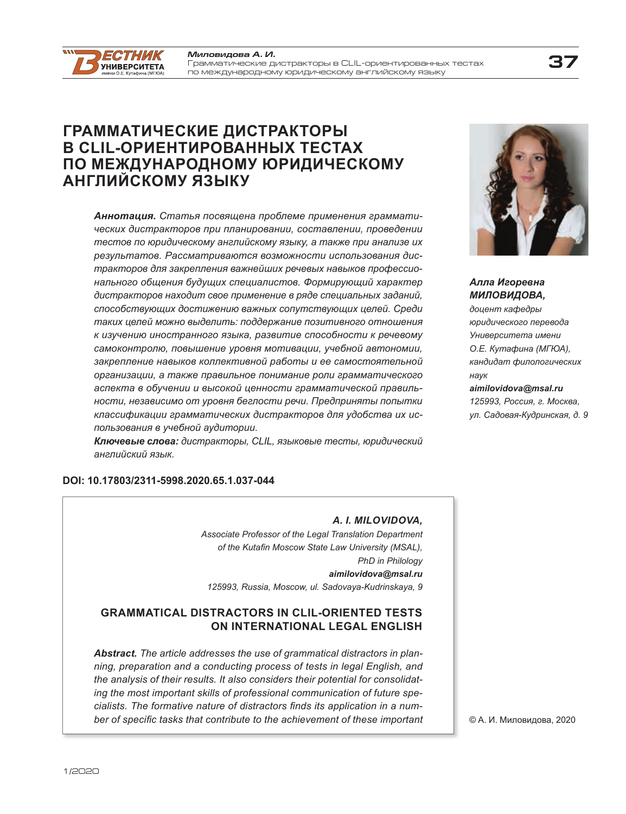man.

*ECTHИК* **VHURFPCUTFTA** 

#### **37** *Ìèëîâèäîâà À. È.* Грамматические äистракторû в CLIL-ориентированнûõ тестаõ по международному юридическому английскому языку

# **ГРАММАТИЧЕСКИЕ ДИСТРАКТОРЫ В CLIL-ОРИЕНТИРОВАННЫХ ТЕСТАХ ПО МЕЖДУНАРОДНОМУ ЮРИДИЧЕСКОМУ АНГЛИЙСКОМУ ЯЗЫКУ**

*Аннотация. Статья посвящена проблеме применения грамматических дистракторов при планировании, составлении, проведении тестов по юридическому английскому языку, а также при анализе их результатов. Рассматриваются возможности использования дистракторов для закрепления важнейших речевых навыков профессионального общения будущих специалистов. Формирующий характер дистракторов находит свое применение в ряде специальных заданий, способствующих достижению важных сопутствующих целей. Среди таких целей можно выделить: поддержание позитивного отношения к изучению иностранного языка, развитие способности к речевому самоконтролю, повышение уровня мотивации, учебной автономии, закрепление навыков коллективной работы и ее самостоятельной организации, а также правильное понимание роли грамматического аспекта в обучении и высокой ценности грамматической правильности, независимо от уровня беглости речи. Предприняты попытки классификации грамматических дистракторов для удобства их использования в учебной аудитории.*

*Ключевые слова: дистракторы, CLIL, языковые тесты, юридический английский язык.*

#### **DOI: 10.17803/2311-5998.2020.65.1.037-044**

# *A. I. MILOVIDOVA,*

*Associate Professor of the Legal Translation Department* of the Kutafin Moscow State Law University (MSAL), *PhD in Philology aimilovidova@msal.ru 125993, Russia, Moscow, ul. Sadovaya-Kudrinskaya, 9*

# **GRAMMATICAL DISTRACTORS IN CLIL-ORIENTED TESTS ON INTERNATIONAL LEGAL ENGLISH**

*Abstract. The article addresses the use of grammatical distractors in planning, preparation and a conducting process of tests in legal English, and the analysis of their results. It also considers their potential for consolidating the most important skills of professional communication of future spe*cialists. The formative nature of distractors finds its application in a number of specific tasks that contribute to the achievement of these important *Алла Игоревна* 

*МИЛОВИДОВА, доцент кафедры юридического перевода Университета имени О.Е. Кутафина (МГЮА), кандидат филологических наук aimilovidova@msal.ru*

*125993, Россия, г. Москва, ул. Садовая-Кудринская, д. 9*



.<br>Видова, 2 © А. И. Миловидова, 2020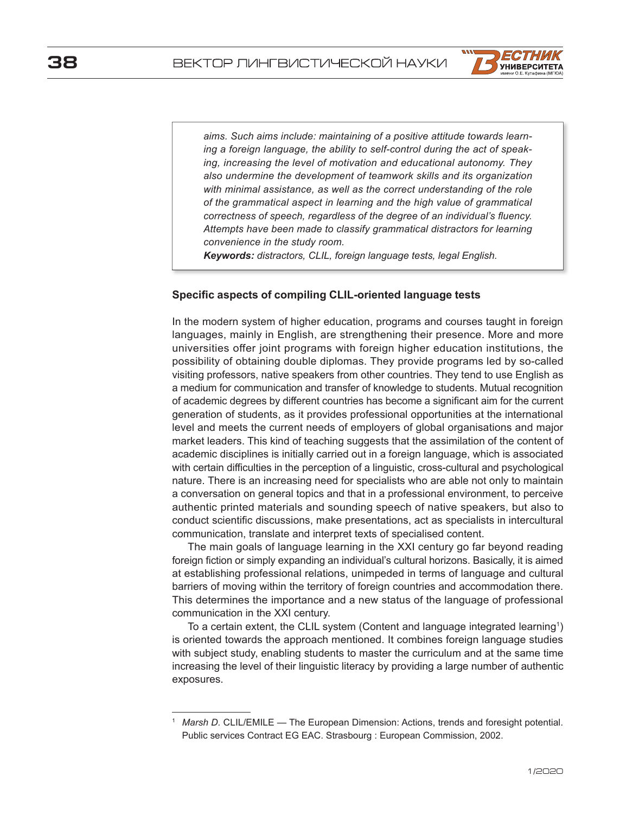

*aims. Such aims include: maintaining of a positive attitude towards learning a foreign language, the ability to self-control during the act of speaking, increasing the level of motivation and educational autonomy. They also undermine the development of teamwork skills and its organization with minimal assistance, as well as the correct understanding of the role of the grammatical aspect in learning and the high value of grammatical correctness of speech, regardless of the degree of an individual's fluency. Attempts have been made to classify grammatical distractors for learning convenience in the study room.*

*Keywords: distractors, CLIL, foreign language tests, legal English.*

#### **Specific aspects of compiling CLIL-oriented language tests**

In the modern system of higher education, programs and courses taught in foreign languages, mainly in English, are strengthening their presence. More and more universities offer joint programs with foreign higher education institutions, the possibility of obtaining double diplomas. They provide programs led by so-called visiting professors, native speakers from other countries. They tend to use English as a medium for communication and transfer of knowledge to students. Mutual recognition of academic degrees by different countries has become a significant aim for the current generation of students, as it provides professional opportunities at the international level and meets the current needs of employers of global organisations and major market leaders. This kind of teaching suggests that the assimilation of the content of academic disciplines is initially carried out in a foreign language, which is associated with certain difficulties in the perception of a linguistic, cross-cultural and psychological nature. There is an increasing need for specialists who are able not only to maintain a conversation on general topics and that in a professional environment, to perceive authentic printed materials and sounding speech of native speakers, but also to conduct scientific discussions, make presentations, act as specialists in intercultural communication, translate and interpret texts of specialised content.

The main goals of language learning in the XXI century go far beyond reading foreign fiction or simply expanding an individual's cultural horizons. Basically, it is aimed at establishing professional relations, unimpeded in terms of language and cultural barriers of moving within the territory of foreign countries and accommodation there. This determines the importance and a new status of the language of professional communication in the XXI century.

To a certain extent, the CLIL system (Content and language integrated learning $^{\scriptscriptstyle 1})$ is oriented towards the approach mentioned. It combines foreign language studies with subject study, enabling students to master the curriculum and at the same time increasing the level of their linguistic literacy by providing a large number of authentic exposures.

*Marsh D.* CLIL/EMILE — The European Dimension: Actions, trends and foresight potential. Public services Contract EG EAC. Strasbourg : European Commission, 2002.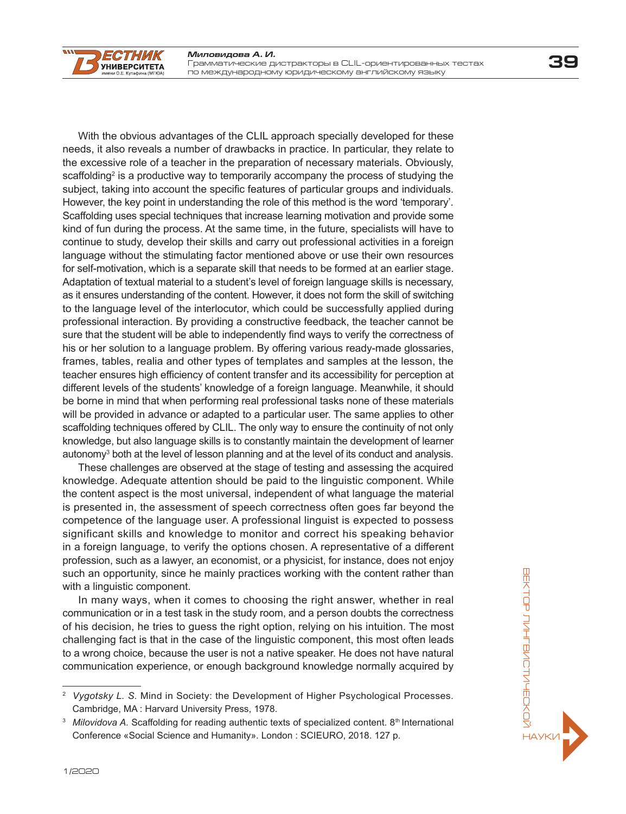With the obvious advantages of the CLIL approach specially developed for these needs, it also reveals a number of drawbacks in practice. In particular, they relate to the excessive role of a teacher in the preparation of necessary materials. Obviously, scaffolding $^2$  is a productive way to temporarily accompany the process of studying the subject, taking into account the specific features of particular groups and individuals. However, the key point in understanding the role of this method is the word 'temporary'. Scaffolding uses special techniques that increase learning motivation and provide some kind of fun during the process. At the same time, in the future, specialists will have to continue to study, develop their skills and carry out professional activities in a foreign language without the stimulating factor mentioned above or use their own resources for self-motivation, which is a separate skill that needs to be formed at an earlier stage. Adaptation of textual material to a student's level of foreign language skills is necessary, as it ensures understanding of the content. However, it does not form the skill of switching to the language level of the interlocutor, which could be successfully applied during professional interaction. By providing a constructive feedback, the teacher cannot be sure that the student will be able to independently find ways to verify the correctness of his or her solution to a language problem. By offering various ready-made glossaries, frames, tables, realia and other types of templates and samples at the lesson, the teacher ensures high efficiency of content transfer and its accessibility for perception at different levels of the students' knowledge of a foreign language. Meanwhile, it should be borne in mind that when performing real professional tasks none of these materials will be provided in advance or adapted to a particular user. The same applies to other scaffolding techniques offered by CLIL. The only way to ensure the continuity of not only knowledge, but also language skills is to constantly maintain the development of learner autonomy ${}^3$  both at the level of lesson planning and at the level of its conduct and analysis.

These challenges are observed at the stage of testing and assessing the acquired knowledge. Adequate attention should be paid to the linguistic component. While the content aspect is the most universal, independent of what language the material is presented in, the assessment of speech correctness often goes far beyond the competence of the language user. A professional linguist is expected to possess significant skills and knowledge to monitor and correct his speaking behavior in a foreign language, to verify the options chosen. A representative of a different profession, such as a lawyer, an economist, or a physicist, for instance, does not enjoy such an opportunity, since he mainly practices working with the content rather than with a linguistic component.

In many ways, when it comes to choosing the right answer, whether in real communication or in a test task in the study room, and a person doubts the correctness of his decision, he tries to guess the right option, relying on his intuition. The most challenging fact is that in the case of the linguistic component, this most often leads to a wrong choice, because the user is not a native speaker. He does not have natural communication experience, or enough background knowledge normally acquired by

 $\overline{I}$ 

*ECTHWK* **УНИВЕРСИТЕТА** 

<sup>2</sup> *Vygotsky L. S.* Mind in Society: the Development of Higher Psychological Processes. Cambridge, MA : Harvard University Press, 1978.

<sup>&</sup>lt;sup>3</sup> Milovidova A. Scaffolding for reading authentic texts of specialized content. 8<sup>th</sup> International Conference «Social Science and Humanity». London : SCIEURO, 2018. 127 p.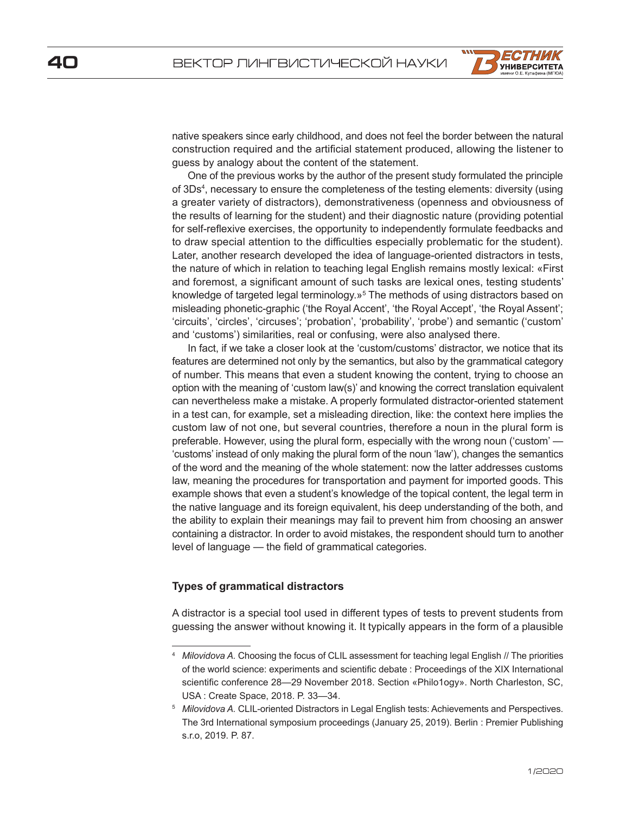

native speakers since early childhood, and does not feel the border between the natural construction required and the artificial statement produced, allowing the listener to guess by analogy about the content of the statement.

One of the previous works by the author of the present study formulated the principle of 3Ds<sup>4</sup>, necessary to ensure the completeness of the testing elements: diversity (using a greater variety of distractors), demonstrativeness (openness and obviousness of the results of learning for the student) and their diagnostic nature (providing potential for self-reflexive exercises, the opportunity to independently formulate feedbacks and to draw special attention to the difficulties especially problematic for the student). Later, another research developed the idea of language-oriented distractors in tests, the nature of which in relation to teaching legal English remains mostly lexical: «First and foremost, a significant amount of such tasks are lexical ones, testing students' knowledge of targeted legal terminology.»<sup>5</sup> The methods of using distractors based on misleading phonetic-graphic ('the Royal Accent', 'the Royal Accept', 'the Royal Assent'; 'circuits', 'circles', 'circuses'; 'probation', 'probability', 'probe') and semantic ('custom' and 'customs') similarities, real or confusing, were also analysed there.

In fact, if we take a closer look at the 'custom/customs' distractor, we notice that its features are determined not only by the semantics, but also by the grammatical category of number. This means that even a student knowing the content, trying to choose an option with the meaning of 'custom law(s)' and knowing the correct translation equivalent can nevertheless make a mistake. A properly formulated distractor-oriented statement in a test can, for example, set a misleading direction, like: the context here implies the custom law of not one, but several countries, therefore a noun in the plural form is preferable. However, using the plural form, especially with the wrong noun ('custom' — 'customs' instead of only making the plural form of the noun 'law'), changes the semantics of the word and the meaning of the whole statement: now the latter addresses customs law, meaning the procedures for transportation and payment for imported goods. This example shows that even a student's knowledge of the topical content, the legal term in the native language and its foreign equivalent, his deep understanding of the both, and the ability to explain their meanings may fail to prevent him from choosing an answer containing a distractor. In order to avoid mistakes, the respondent should turn to another level of language — the field of grammatical categories.

#### **Types of grammatical distractors**

A distractor is a special tool used in different types of tests to prevent students from guessing the answer without knowing it. It typically appears in the form of a plausible

<sup>4</sup> *Milovidova A.* Choosing the focus of CLIL assessment for teaching legal English // The priorities of the world science: experiments and scientific debate : Proceedings of the XIX International scientific conference 28—29 November 2018. Section «Philo1ogy». North Charleston, SC, USA : Create Space, 2018. P. 33—34.

<sup>5</sup> *Milovidova A.* CLIL-oriented Distractors in Legal English tests: Achievements and Perspectives. The 3rd International symposium proceedings (January 25, 2019). Berlin : Premier Publishing s.r.o, 2019. P. 87.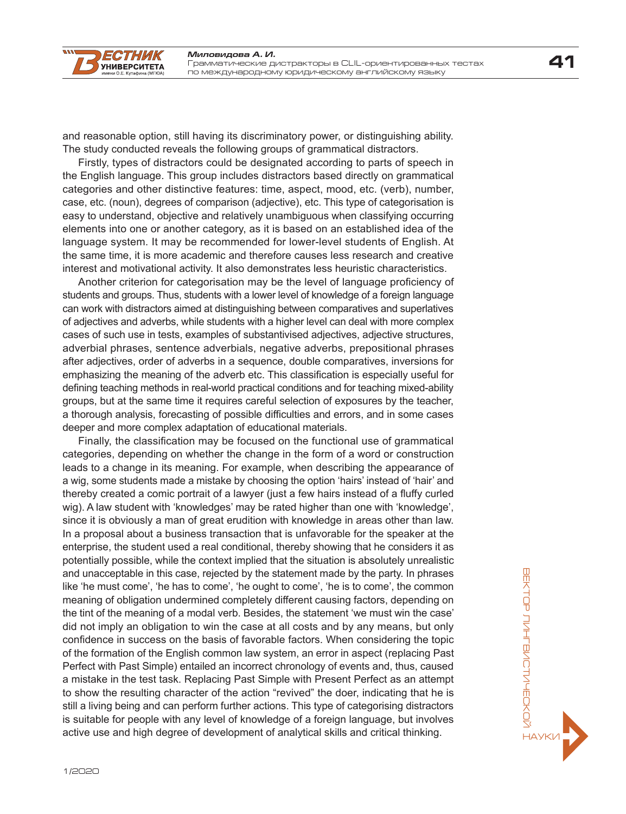

and reasonable option, still having its discriminatory power, or distinguishing ability. The study conducted reveals the following groups of grammatical distractors.

Firstly, types of distractors could be designated according to parts of speech in the English language. This group includes distractors based directly on grammatical categories and other distinctive features: time, aspect, mood, etc. (verb), number, case, etc. (noun), degrees of comparison (adjective), etc. This type of categorisation is easy to understand, objective and relatively unambiguous when classifying occurring elements into one or another category, as it is based on an established idea of the language system. It may be recommended for lower-level students of English. At the same time, it is more academic and therefore causes less research and creative interest and motivational activity. It also demonstrates less heuristic characteristics.

Another criterion for categorisation may be the level of language proficiency of students and groups. Thus, students with a lower level of knowledge of a foreign language can work with distractors aimed at distinguishing between comparatives and superlatives of adjectives and adverbs, while students with a higher level can deal with more complex cases of such use in tests, examples of substantivised adjectives, adjective structures, adverbial phrases, sentence adverbials, negative adverbs, prepositional phrases after adjectives, order of adverbs in a sequence, double comparatives, inversions for emphasizing the meaning of the adverb etc. This classification is especially useful for defining teaching methods in real-world practical conditions and for teaching mixed-ability groups, but at the same time it requires careful selection of exposures by the teacher, a thorough analysis, forecasting of possible difficulties and errors, and in some cases deeper and more complex adaptation of educational materials.

Finally, the classification may be focused on the functional use of grammatical categories, depending on whether the change in the form of a word or construction leads to a change in its meaning. For example, when describing the appearance of a wig, some students made a mistake by choosing the option 'hairs' instead of 'hair' and thereby created a comic portrait of a lawyer (just a few hairs instead of a fluffy curled wig). A law student with 'knowledges' may be rated higher than one with 'knowledge', since it is obviously a man of great erudition with knowledge in areas other than law. In a proposal about a business transaction that is unfavorable for the speaker at the enterprise, the student used a real conditional, thereby showing that he considers it as potentially possible, while the context implied that the situation is absolutely unrealistic and unacceptable in this case, rejected by the statement made by the party. In phrases like 'he must come', 'he has to come', 'he ought to come', 'he is to come', the common meaning of obligation undermined completely different causing factors, depending on the tint of the meaning of a modal verb. Besides, the statement 'we must win the case' did not imply an obligation to win the case at all costs and by any means, but only confidence in success on the basis of favorable factors. When considering the topic of the formation of the English common law system, an error in aspect (replacing Past Perfect with Past Simple) entailed an incorrect chronology of events and, thus, caused a mistake in the test task. Replacing Past Simple with Present Perfect as an attempt to show the resulting character of the action "revived" the doer, indicating that he is still a living being and can perform further actions. This type of categorising distractors is suitable for people with any level of knowledge of a foreign language, but involves active use and high degree of development of analytical skills and critical thinking.

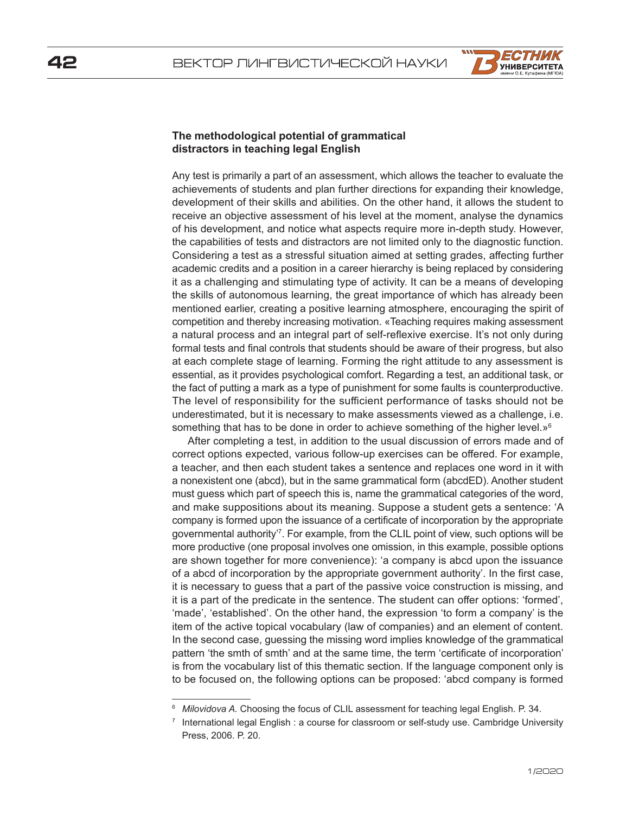

### **The methodological potential of grammatical distractors in teaching legal English**

Any test is primarily a part of an assessment, which allows the teacher to evaluate the achievements of students and plan further directions for expanding their knowledge, development of their skills and abilities. On the other hand, it allows the student to receive an objective assessment of his level at the moment, analyse the dynamics of his development, and notice what aspects require more in-depth study. However, the capabilities of tests and distractors are not limited only to the diagnostic function. Considering a test as a stressful situation aimed at setting grades, affecting further academic credits and a position in a career hierarchy is being replaced by considering it as a challenging and stimulating type of activity. It can be a means of developing the skills of autonomous learning, the great importance of which has already been mentioned earlier, creating a positive learning atmosphere, encouraging the spirit of competition and thereby increasing motivation. «Teaching requires making assessment a natural process and an integral part of self-reflexive exercise. It's not only during formal tests and final controls that students should be aware of their progress, but also at each complete stage of learning. Forming the right attitude to any assessment is essential, as it provides psychological comfort. Regarding a test, an additional task, or the fact of putting a mark as a type of punishment for some faults is counterproductive. The level of responsibility for the sufficient performance of tasks should not be underestimated, but it is necessary to make assessments viewed as a challenge, i.e. something that has to be done in order to achieve something of the higher level. $\mathbf{v}^6$ 

After completing a test, in addition to the usual discussion of errors made and of correct options expected, various follow-up exercises can be offered. For example, a teacher, and then each student takes a sentence and replaces one word in it with a nonexistent one (abcd), but in the same grammatical form (abcdED). Another student must guess which part of speech this is, name the grammatical categories of the word, and make suppositions about its meaning. Suppose a student gets a sentence: 'A company is formed upon the issuance of a certificate of incorporation by the appropriate governmental authority'<sup>7</sup> . For example, from the CLIL point of view, such options will be more productive (one proposal involves one omission, in this example, possible options are shown together for more convenience): 'a company is abcd upon the issuance of a abcd of incorporation by the appropriate government authority'. In the first case, it is necessary to guess that a part of the passive voice construction is missing, and it is a part of the predicate in the sentence. The student can offer options: 'formed', 'made', 'established'. On the other hand, the expression 'to form a company' is the item of the active topical vocabulary (law of companies) and an element of content. In the second case, guessing the missing word implies knowledge of the grammatical pattern 'the smth of smth' and at the same time, the term 'certificate of incorporation' is from the vocabulary list of this thematic section. If the language component only is to be focused on, the following options can be proposed: 'abcd company is formed

<sup>6</sup> *Milovidova A.* Choosing the focus of CLIL assessment for teaching legal English. P. 34.

International legal English : a course for classroom or self-study use. Cambridge University Press, 2006. P. 20.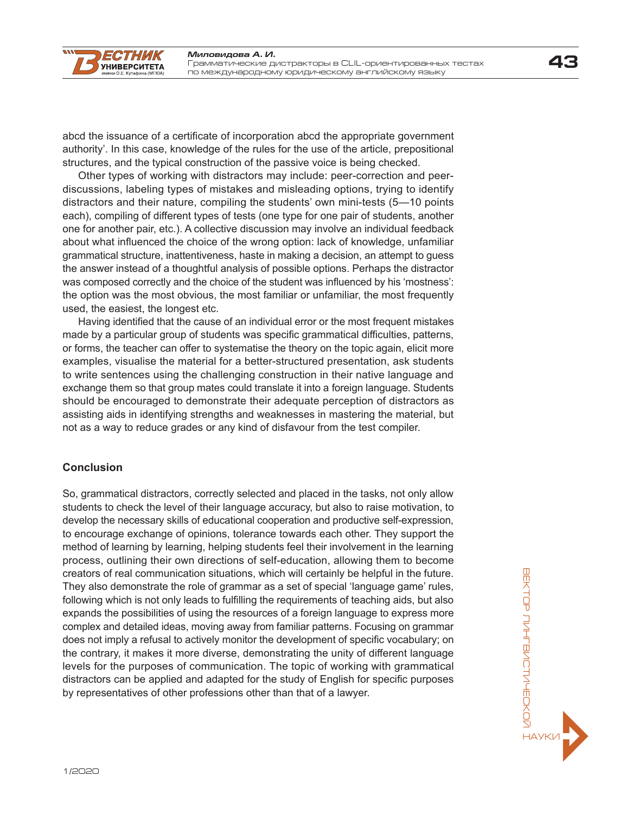abcd the issuance of a certificate of incorporation abcd the appropriate government authority'. In this case, knowledge of the rules for the use of the article, prepositional structures, and the typical construction of the passive voice is being checked.

Other types of working with distractors may include: peer-correction and peerdiscussions, labeling types of mistakes and misleading options, trying to identify distractors and their nature, compiling the students' own mini-tests (5—10 points each), compiling of different types of tests (one type for one pair of students, another one for another pair, etc.). A collective discussion may involve an individual feedback about what influenced the choice of the wrong option: lack of knowledge, unfamiliar grammatical structure, inattentiveness, haste in making a decision, an attempt to guess the answer instead of a thoughtful analysis of possible options. Perhaps the distractor was composed correctly and the choice of the student was influenced by his 'mostness': the option was the most obvious, the most familiar or unfamiliar, the most frequently used, the easiest, the longest etc.

Having identified that the cause of an individual error or the most frequent mistakes made by a particular group of students was specific grammatical difficulties, patterns, or forms, the teacher can offer to systematise the theory on the topic again, elicit more examples, visualise the material for a better-structured presentation, ask students to write sentences using the challenging construction in their native language and exchange them so that group mates could translate it into a foreign language. Students should be encouraged to demonstrate their adequate perception of distractors as assisting aids in identifying strengths and weaknesses in mastering the material, but not as a way to reduce grades or any kind of disfavour from the test compiler.

#### **Conclusion**

 $\overline{I}$ 

*ECTHWK* **УНИВЕРСИТЕТА** 

So, grammatical distractors, correctly selected and placed in the tasks, not only allow students to check the level of their language accuracy, but also to raise motivation, to develop the necessary skills of educational cooperation and productive self-expression, to encourage exchange of opinions, tolerance towards each other. They support the method of learning by learning, helping students feel their involvement in the learning process, outlining their own directions of self-education, allowing them to become creators of real communication situations, which will certainly be helpful in the future. They also demonstrate the role of grammar as a set of special 'language game' rules, following which is not only leads to fulfilling the requirements of teaching aids, but also expands the possibilities of using the resources of a foreign language to express more complex and detailed ideas, moving away from familiar patterns. Focusing on grammar does not imply a refusal to actively monitor the development of specific vocabulary; on the contrary, it makes it more diverse, demonstrating the unity of different language levels for the purposes of communication. The topic of working with grammatical distractors can be applied and adapted for the study of English for specific purposes by representatives of other professions other than that of a lawyer.